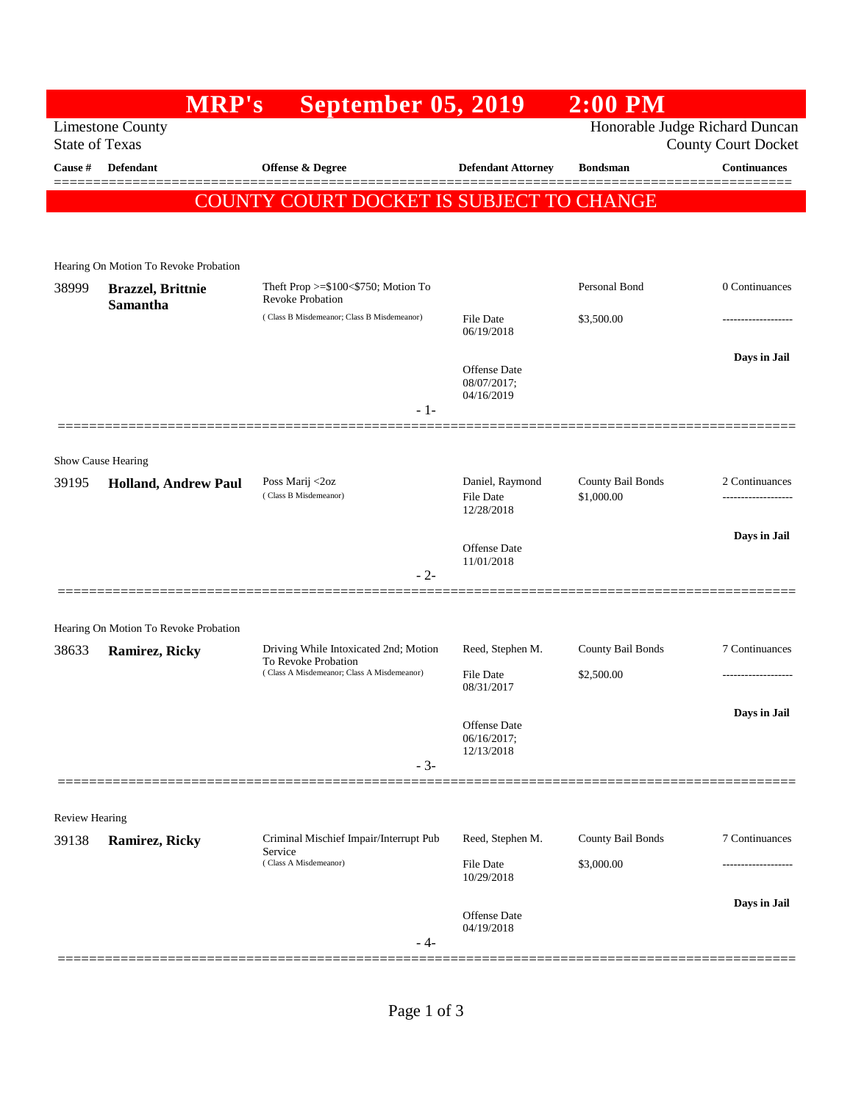| <b>State of Texas</b><br>Cause # | <b>Limestone County</b>               | September 05, 2019                                                                                         |                                                   |                                 |                     |
|----------------------------------|---------------------------------------|------------------------------------------------------------------------------------------------------------|---------------------------------------------------|---------------------------------|---------------------|
|                                  |                                       | Honorable Judge Richard Duncan<br><b>County Court Docket</b>                                               |                                                   |                                 |                     |
|                                  | <b>Defendant</b>                      | <b>Offense &amp; Degree</b>                                                                                | <b>Defendant Attorney</b>                         | <b>Bondsman</b>                 | <b>Continuances</b> |
|                                  |                                       | COUNTY COURT DOCKET IS SUBJECT TO CHANGE                                                                   |                                                   |                                 |                     |
|                                  |                                       |                                                                                                            |                                                   |                                 |                     |
|                                  | Hearing On Motion To Revoke Probation |                                                                                                            |                                                   |                                 |                     |
| 38999                            | <b>Brazzel</b> , Brittnie             | Theft Prop $>=$ \$100 $<$ \$750; Motion To<br><b>Revoke Probation</b>                                      |                                                   | Personal Bond                   | 0 Continuances      |
|                                  | <b>Samantha</b>                       | (Class B Misdemeanor; Class B Misdemeanor)                                                                 | File Date<br>06/19/2018                           | \$3,500.00                      | ------------------  |
|                                  |                                       |                                                                                                            | <b>Offense Date</b><br>08/07/2017;                |                                 | Days in Jail        |
|                                  |                                       | $-1-$                                                                                                      | 04/16/2019                                        |                                 |                     |
| Show Cause Hearing               |                                       |                                                                                                            |                                                   |                                 |                     |
| 39195                            | <b>Holland, Andrew Paul</b>           | Poss Marij <2oz<br>(Class B Misdemeanor)                                                                   | Daniel, Raymond<br><b>File Date</b><br>12/28/2018 | County Bail Bonds<br>\$1,000.00 | 2 Continuances      |
|                                  |                                       |                                                                                                            | <b>Offense</b> Date<br>11/01/2018                 |                                 | Days in Jail        |
|                                  |                                       | $-2-$                                                                                                      |                                                   |                                 |                     |
|                                  | Hearing On Motion To Revoke Probation |                                                                                                            |                                                   |                                 |                     |
| 38633                            | Ramirez, Ricky                        | Driving While Intoxicated 2nd; Motion<br>To Revoke Probation<br>(Class A Misdemeanor; Class A Misdemeanor) | Reed, Stephen M.                                  | County Bail Bonds               | 7 Continuances      |
|                                  |                                       |                                                                                                            | <b>File Date</b><br>08/31/2017                    | \$2,500.00                      |                     |
|                                  |                                       |                                                                                                            | Offense Date                                      |                                 | Days in Jail        |
|                                  |                                       | $-3-$                                                                                                      | 06/16/2017;<br>12/13/2018                         |                                 |                     |
|                                  |                                       |                                                                                                            |                                                   |                                 |                     |
| <b>Review Hearing</b>            |                                       |                                                                                                            |                                                   |                                 |                     |
| 39138                            | Ramirez, Ricky                        | Criminal Mischief Impair/Interrupt Pub<br>Service<br>(Class A Misdemeanor)                                 | Reed, Stephen M.                                  | County Bail Bonds               | 7 Continuances      |
|                                  |                                       |                                                                                                            | <b>File Date</b><br>10/29/2018                    | \$3,000.00                      |                     |
|                                  |                                       | - 4-                                                                                                       | Offense Date<br>04/19/2018                        |                                 | Days in Jail        |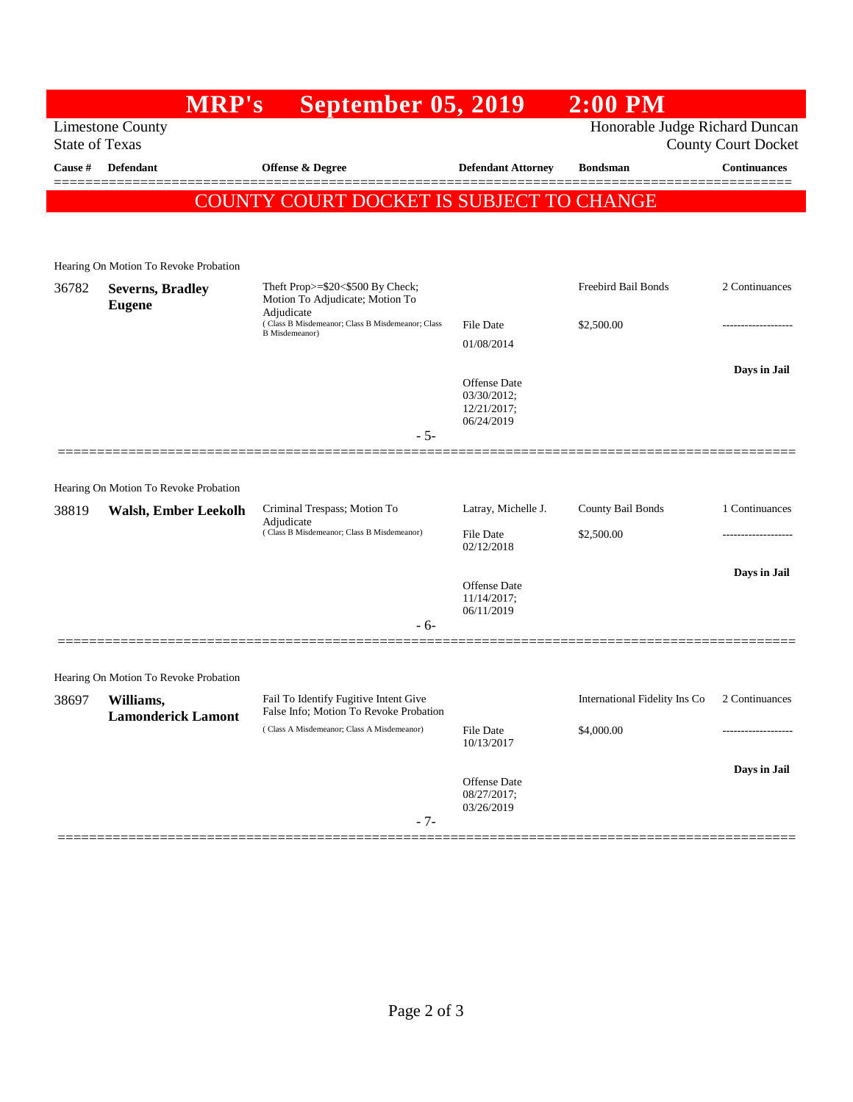|                | <b>MRP's</b>                             | September 05, 2019                                                                                                                    |                             | $2:00$ PM                      |                            |
|----------------|------------------------------------------|---------------------------------------------------------------------------------------------------------------------------------------|-----------------------------|--------------------------------|----------------------------|
|                | <b>Limestone County</b>                  |                                                                                                                                       |                             | Honorable Judge Richard Duncan |                            |
|                | <b>State of Texas</b>                    |                                                                                                                                       |                             |                                | <b>County Court Docket</b> |
| <b>Cause #</b> | Defendant                                | <b>Offense &amp; Degree</b>                                                                                                           | <b>Defendant Attorney</b>   | <b>Bondsman</b>                | <b>Continuances</b>        |
|                |                                          | COUNTY COURT DOCKET IS SUBJECT TO CHANGE                                                                                              |                             |                                |                            |
|                |                                          |                                                                                                                                       |                             |                                |                            |
|                |                                          |                                                                                                                                       |                             |                                |                            |
|                | Hearing On Motion To Revoke Probation    |                                                                                                                                       |                             |                                |                            |
| 36782          | <b>Severns, Bradley</b><br><b>Eugene</b> | Theft Prop>=\$20<\$500 By Check;<br>Motion To Adjudicate; Motion To<br>Adjudicate<br>(Class B Misdemeanor; Class B Misdemeanor; Class |                             | Freebird Bail Bonds            | 2 Continuances             |
|                |                                          |                                                                                                                                       | <b>File Date</b>            | \$2,500.00                     |                            |
|                |                                          | B Misdemeanor)                                                                                                                        | 01/08/2014                  |                                |                            |
|                |                                          |                                                                                                                                       |                             |                                | Days in Jail               |
|                |                                          |                                                                                                                                       | Offense Date                |                                |                            |
|                |                                          |                                                                                                                                       | 03/30/2012;<br>12/21/2017;  |                                |                            |
|                |                                          | $-5-$                                                                                                                                 | 06/24/2019                  |                                |                            |
|                |                                          |                                                                                                                                       |                             |                                |                            |
|                | Hearing On Motion To Revoke Probation    |                                                                                                                                       |                             |                                |                            |
| 38819          | <b>Walsh, Ember Leekolh</b>              | Criminal Trespass; Motion To                                                                                                          | Latray, Michelle J.         | County Bail Bonds              | 1 Continuances             |
|                |                                          | Adjudicate<br>(Class B Misdemeanor; Class B Misdemeanor)                                                                              | File Date                   | \$2,500.00                     |                            |
|                |                                          |                                                                                                                                       | 02/12/2018                  |                                |                            |
|                |                                          |                                                                                                                                       |                             |                                | Days in Jail               |
|                |                                          |                                                                                                                                       | Offense Date<br>11/14/2017; |                                |                            |
|                |                                          | - 6-                                                                                                                                  | 06/11/2019                  |                                |                            |
|                |                                          |                                                                                                                                       |                             |                                |                            |
|                | Hearing On Motion To Revoke Probation    |                                                                                                                                       |                             |                                |                            |
| 38697          | Williams,                                | Fail To Identify Fugitive Intent Give                                                                                                 |                             | International Fidelity Ins Co  | 2 Continuances             |
|                | <b>Lamonderick Lamont</b>                | False Info; Motion To Revoke Probation                                                                                                |                             |                                |                            |
|                |                                          | (Class A Misdemeanor; Class A Misdemeanor)                                                                                            | File Date<br>10/13/2017     | \$4,000.00                     |                            |
|                |                                          |                                                                                                                                       |                             |                                | Days in Jail               |
|                |                                          |                                                                                                                                       | Offense Date                |                                |                            |
|                |                                          |                                                                                                                                       | 08/27/2017;<br>03/26/2019   |                                |                            |
|                |                                          | $-7-$                                                                                                                                 |                             |                                |                            |